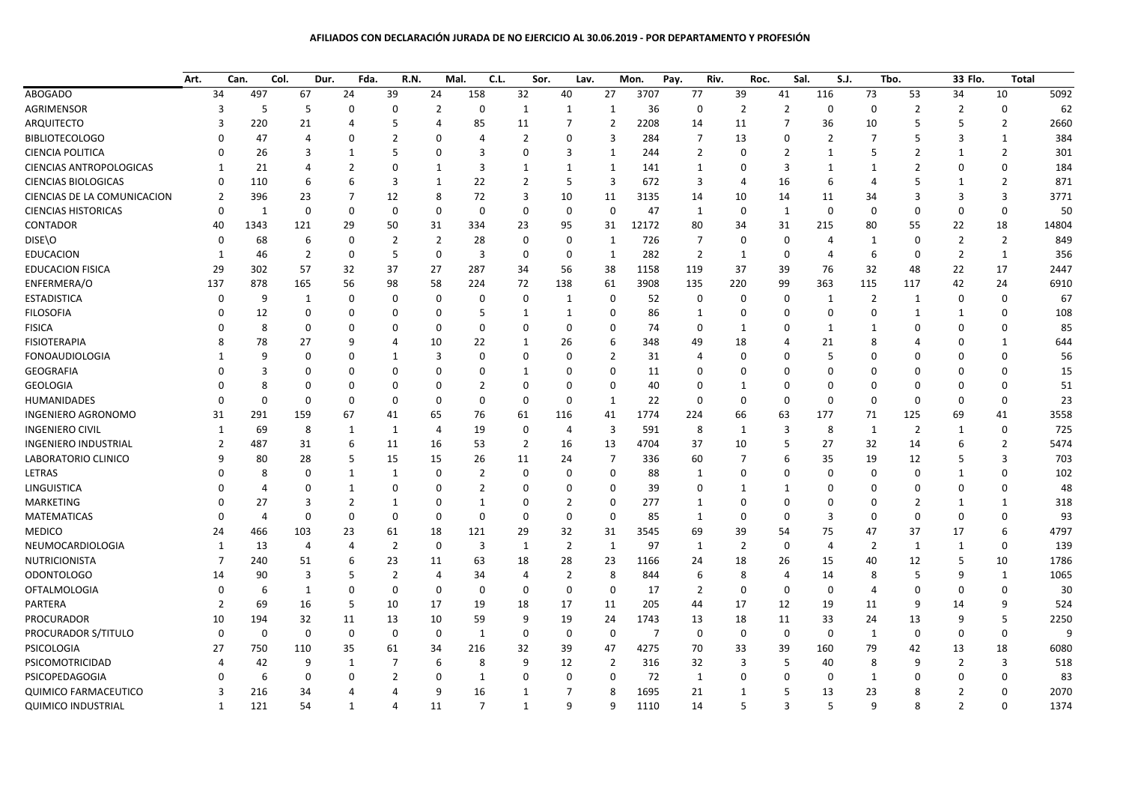## **AFILIADOS CON DECLARACIÓN JURADA DE NO EJERCICIO AL 30.06.2019 - POR DEPARTAMENTO Y PROFESIÓN**

|                                | Art.           | Can.         | Col.           | Fda.<br>Dur. | R.N.           |                | Mal.<br>C.L.   | Sor.           | Lav.           |                | Mon.           | Pay.           | Riv.           | Sal.<br>Roc.   | S.J.           |                | Tbo.           | 33 Flo.        | <b>Total</b>   |       |
|--------------------------------|----------------|--------------|----------------|--------------|----------------|----------------|----------------|----------------|----------------|----------------|----------------|----------------|----------------|----------------|----------------|----------------|----------------|----------------|----------------|-------|
| <b>ABOGADO</b>                 | 34             | 497          | 67             | 24           | 39             | 24             | 158            | 32             | 40             | 27             | 3707           | 77             | 39             | 41             | 116            | 73             | 53             | 34             | 10             | 5092  |
| AGRIMENSOR                     | $\overline{3}$ | 5            | 5              | 0            | 0              | $\overline{2}$ | $\mathbf 0$    | 1              | 1              | $\mathbf{1}$   | 36             | $\mathbf 0$    | $\overline{2}$ | $\overline{2}$ | 0              | $\mathbf 0$    | $\overline{2}$ | $\overline{2}$ | 0              | 62    |
| ARQUITECTO                     | 3              | 220          | 21             | 4            | 5              | $\overline{4}$ | 85             | 11             | 7              | $\overline{2}$ | 2208           | 14             | 11             | 7              | 36             | 10             | 5              | 5              | $\overline{2}$ | 2660  |
| <b>BIBLIOTECOLOGO</b>          | U              | 47           | $\overline{4}$ | $\Omega$     | $\overline{2}$ | $\mathbf 0$    | 4              | $\overline{2}$ | 0              | 3              | 284            | $\overline{7}$ | 13             | $\Omega$       | $\overline{2}$ | $\overline{7}$ | 5              | 3              | 1              | 384   |
| <b>CIENCIA POLITICA</b>        | $\Omega$       | 26           | 3              | 1            | 5              | $\mathbf 0$    | $\overline{3}$ | $\Omega$       | 3              | 1              | 244            | $\overline{2}$ | $\Omega$       | $\overline{2}$ | $\mathbf{1}$   | 5              | $\overline{2}$ | $\mathbf{1}$   | $\overline{2}$ | 301   |
| <b>CIENCIAS ANTROPOLOGICAS</b> | -1             | 21           | Δ              | 2            | $\overline{0}$ | $\mathbf 1$    | 3              | 1              | 1              | 1              | 141            | 1              | <sup>0</sup>   | 3              | 1              | 1              | $\overline{2}$ | $\Omega$       | $\Omega$       | 184   |
| <b>CIENCIAS BIOLOGICAS</b>     | $\mathbf 0$    | 110          | 6              | 6            | 3              | 1              | 22             | $\overline{2}$ | 5              | 3              | 672            | 3              | 4              | 16             | 6              | 4              | 5              | $\mathbf{1}$   | 2              | 871   |
| CIENCIAS DE LA COMUNICACION    | $\overline{2}$ | 396          | 23             | 7            | 12             | 8              | 72             | 3              | 10             | 11             | 3135           | 14             | 10             | 14             | 11             | 34             | 3              | 3              | 3              | 3771  |
| <b>CIENCIAS HISTORICAS</b>     | $\Omega$       | $\mathbf{1}$ | 0              | $\Omega$     | 0              | $\mathbf 0$    | $\mathbf 0$    | 0              | $\Omega$       | $\mathbf 0$    | 47             | 1              | 0              | $\mathbf{1}$   | $\Omega$       | 0              | $\mathbf 0$    | $\mathbf 0$    | $\mathbf 0$    | 50    |
| CONTADOR                       | 40             | 1343         | 121            | 29           | 50             | 31             | 334            | 23             | 95             | 31             | 12172          | 80             | 34             | 31             | 215            | 80             | 55             | 22             | 18             | 14804 |
| DISE\O                         | $\Omega$       | 68           | 6              | $\Omega$     | $\overline{2}$ | $\overline{2}$ | 28             | $\Omega$       | 0              | 1              | 726            | $\overline{7}$ | $\Omega$       | 0              | 4              | $\mathbf{1}$   | $\mathbf 0$    | $\overline{2}$ | $\overline{2}$ | 849   |
| <b>EDUCACION</b>               | 1              | 46           | $\overline{2}$ | 0            | 5              | $\mathbf 0$    | $\overline{3}$ | 0              | $\Omega$       | $\mathbf{1}$   | 282            | $\overline{2}$ | $\mathbf{1}$   | $\mathbf 0$    | 4              | 6              | $\mathbf 0$    | $\overline{2}$ | $\mathbf{1}$   | 356   |
| <b>EDUCACION FISICA</b>        | 29             | 302          | 57             | 32           | 37             | 27             | 287            | 34             | 56             | 38             | 1158           | 119            | 37             | 39             | 76             | 32             | 48             | 22             | 17             | 2447  |
| ENFERMERA/O                    | 137            | 878          | 165            | 56           | 98             | 58             | 224            | 72             | 138            | 61             | 3908           | 135            | 220            | 99             | 363            | 115            | 117            | 42             | 24             | 6910  |
| <b>ESTADISTICA</b>             | $\mathbf 0$    | 9            | 1              | 0            | 0              | 0              | $\mathbf 0$    | $\Omega$       | 1              | 0              | 52             | 0              | $\mathbf 0$    | 0              | 1              | $\overline{2}$ | $\mathbf{1}$   | $\mathbf 0$    | $\Omega$       | 67    |
| <b>FILOSOFIA</b>               | 0              | 12           | 0              | $\Omega$     | 0              | $\mathbf 0$    | 5              | 1              | $\mathbf{1}$   | 0              | 86             | 1              | $\Omega$       | 0              | 0              | $\mathbf 0$    | $\mathbf{1}$   | $\mathbf{1}$   | $\Omega$       | 108   |
| <b>FISICA</b>                  |                | 8            | $\Omega$       | 0            | $\mathbf 0$    | $\mathbf 0$    | $\Omega$       | $\Omega$       | $\Omega$       | $\mathbf 0$    | 74             | $\mathbf 0$    | 1              | $\Omega$       | 1              | 1              | $\Omega$       | $\Omega$       | $\Omega$       | 85    |
| <b>FISIOTERAPIA</b>            | 8              | 78           | 27             | q            | 4              | 10             | 22             | 1              | 26             | 6              | 348            | 49             | 18             | 4              | 21             | 8              | 4              | $\Omega$       | 1              | 644   |
| <b>FONOAUDIOLOGIA</b>          | -1             | 9            | $\Omega$       | O            | $\mathbf{1}$   | $\overline{3}$ | $\mathbf 0$    | $\Omega$       | $\Omega$       | $\overline{2}$ | 31             | $\overline{4}$ | $\Omega$       | $\Omega$       | 5              | $\Omega$       | $\Omega$       | $\Omega$       | $\Omega$       | 56    |
| <b>GEOGRAFIA</b>               |                | 3            | $\Omega$       | $\Omega$     | $\Omega$       | $\mathbf 0$    | 0              | 1              | $\Omega$       | $\mathbf 0$    | 11             | $\Omega$       | $\Omega$       | $\Omega$       | O              | $\Omega$       | $\Omega$       | $\Omega$       | $\Omega$       | 15    |
| <b>GEOLOGIA</b>                |                | Я            | $\Omega$       | O            | $\mathbf 0$    | $\mathbf 0$    | $\overline{2}$ | $\Omega$       | $\mathbf 0$    | 0              | 40             | $\mathbf 0$    | -1             | $\Omega$       | 0              | $\mathbf 0$    | $\mathbf 0$    | $\mathbf 0$    | $\Omega$       | 51    |
| <b>HUMANIDADES</b>             | 0              | $\Omega$     | $\Omega$       | $\Omega$     | 0              | $\mathbf 0$    | 0              | 0              | 0              | $\mathbf{1}$   | 22             | $\mathbf 0$    | $\Omega$       | 0              | $\Omega$       | $\mathbf 0$    | $\mathbf 0$    | $\mathbf 0$    | $\Omega$       | 23    |
| <b>INGENIERO AGRONOMO</b>      | 31             | 291          | 159            | 67           | 41             | 65             | 76             | 61             | 116            | 41             | 1774           | 224            | 66             | 63             | 177            | 71             | 125            | 69             | 41             | 3558  |
| <b>INGENIERO CIVIL</b>         | $\mathbf{1}$   | 69           | 8              | 1            | 1              | $\overline{4}$ | 19             | $\Omega$       | $\overline{4}$ | 3              | 591            | 8              | 1              | 3              | 8              | $\mathbf{1}$   | $\overline{2}$ | $\mathbf{1}$   | 0              | 725   |
| <b>INGENIERO INDUSTRIAL</b>    | $\overline{2}$ | 487          | 31             | 6            | 11             | 16             | 53             | $\overline{2}$ | 16             | 13             | 4704           | 37             | 10             | .5             | 27             | 32             | 14             | 6              | 2              | 5474  |
| LABORATORIO CLINICO            | 9              | 80           | 28             | 5            | 15             | 15             | 26             | 11             | 24             | $\overline{7}$ | 336            | 60             | 7              | 6              | 35             | 19             | 12             | 5              | 3              | 703   |
| LETRAS                         | U              | 8            | $\Omega$       | 1            | 1              | $\mathbf 0$    | $\overline{2}$ | $\Omega$       | $\Omega$       | $\mathbf 0$    | 88             | 1              | $\Omega$       | $\Omega$       | $\Omega$       | $\Omega$       | $\mathbf 0$    | $\mathbf{1}$   | $\mathbf 0$    | 102   |
| LINGUISTICA                    |                | Δ            | $\Omega$       | 1            | $\Omega$       | $\Omega$       | $\overline{2}$ | $\Omega$       | $\Omega$       | 0              | 39             | $\Omega$       | -1             | -1             | O              | $\Omega$       | $\Omega$       | $\Omega$       | $\Omega$       | 48    |
| <b>MARKETING</b>               |                | 27           | 3              | 2            | 1              | 0              | $\mathbf{1}$   | $\Omega$       | 2              | 0              | 277            | 1              | $\Omega$       | 0              | $\Omega$       | 0              | $\overline{2}$ | 1              | 1              | 318   |
| <b>MATEMATICAS</b>             | $\Omega$       | 4            | $\Omega$       | $\Omega$     | 0              | $\mathbf 0$    | $\mathbf 0$    | $\Omega$       | 0              | $\mathbf 0$    | 85             | 1              | $\Omega$       | $\Omega$       | 3              | $\Omega$       | $\mathbf 0$    | $\mathbf{0}$   | $\mathbf 0$    | 93    |
| <b>MEDICO</b>                  | 24             | 466          | 103            | 23           | 61             | 18             | 121            | 29             | 32             | 31             | 3545           | 69             | 39             | 54             | 75             | 47             | 37             | 17             | 6              | 4797  |
| NEUMOCARDIOLOGIA               | $\mathbf{1}$   | 13           | $\overline{4}$ | 4            | $\overline{2}$ | $\mathbf 0$    | 3              | 1              | $\overline{2}$ | 1              | 97             | 1              | $\overline{2}$ | 0              | 4              | $\overline{2}$ | $\mathbf{1}$   | 1              | 0              | 139   |
| <b>NUTRICIONISTA</b>           | $\overline{7}$ | 240          | 51             | 6            | 23             | 11             | 63             | 18             | 28             | 23             | 1166           | 24             | 18             | 26             | 15             | 40             | 12             | 5              | 10             | 1786  |
| <b>ODONTOLOGO</b>              | 14             | 90           | 3              | 5            | $\overline{2}$ | $\overline{4}$ | 34             | 4              | $\overline{2}$ | 8              | 844            | 6              | 8              | $\overline{4}$ | 14             | 8              | 5              | 9              | 1              | 1065  |
| <b>OFTALMOLOGIA</b>            | $\Omega$       | 6            | $\mathbf{1}$   | $\Omega$     | 0              | $\mathbf 0$    | $\mathbf 0$    | 0              | 0              | 0              | 17             | $\overline{2}$ | $\Omega$       | $\mathbf 0$    | 0              | 4              | $\mathbf 0$    | $\mathbf 0$    | 0              | 30    |
| PARTERA                        | $\overline{2}$ | 69           | 16             | 5            | 10             | 17             | 19             | 18             | 17             | 11             | 205            | 44             | 17             | 12             | 19             | 11             | 9              | 14             | 9              | 524   |
| PROCURADOR                     | 10             | 194          | 32             | 11           | 13             | 10             | 59             | 9              | 19             | 24             | 1743           | 13             | 18             | 11             | 33             | 24             | 13             | 9              | 5              | 2250  |
| PROCURADOR S/TITULO            | $\Omega$       | $\mathbf 0$  | 0              | $\mathbf 0$  | 0              | $\mathbf 0$    | $\mathbf{1}$   | 0              | 0              | $\Omega$       | $\overline{7}$ | $\mathbf 0$    | 0              | $\mathbf 0$    | $\mathbf 0$    | $\mathbf{1}$   | $\mathbf 0$    | $\mathbf 0$    | $\mathbf 0$    |       |
| PSICOLOGIA                     | 27             | 750          | 110            | 35           | 61             | 34             | 216            | 32             | 39             | 47             | 4275           | 70             | 33             | 39             | 160            | 79             | 42             | 13             | 18             | 6080  |
| PSICOMOTRICIDAD                | $\overline{4}$ | 42           | 9              | 1            | $\overline{7}$ | 6              | 8              | 9              | 12             | 2              | 316            | 32             | 3              | .5             | 40             | 8              | 9              | $\overline{2}$ | 3              | 518   |
| PSICOPEDAGOGIA                 |                | 6            | $\Omega$       | $\Omega$     | $\overline{2}$ | $\mathbf 0$    | $\mathbf{1}$   | $\Omega$       | $\Omega$       | $\mathbf 0$    | 72             | 1              | $\Omega$       | $\Omega$       | $\Omega$       | 1              | $\Omega$       | $\Omega$       | $\Omega$       | 83    |
| <b>QUIMICO FARMACEUTICO</b>    | 3              | 216          | 34             | 4            | 4              | 9              | 16             | 1              | 7              | 8              | 1695           | 21             | 1              | 5              | 13             | 23             | 8              | $\overline{2}$ | $\mathbf 0$    | 2070  |
| <b>QUIMICO INDUSTRIAL</b>      | 1              | 121          | 54             | 1            | 4              | 11             | $\overline{7}$ | 1              | 9              | 9              | 1110           | 14             | 5              | 3              | 5              | 9              | 8              | $\overline{2}$ | $\Omega$       | 1374  |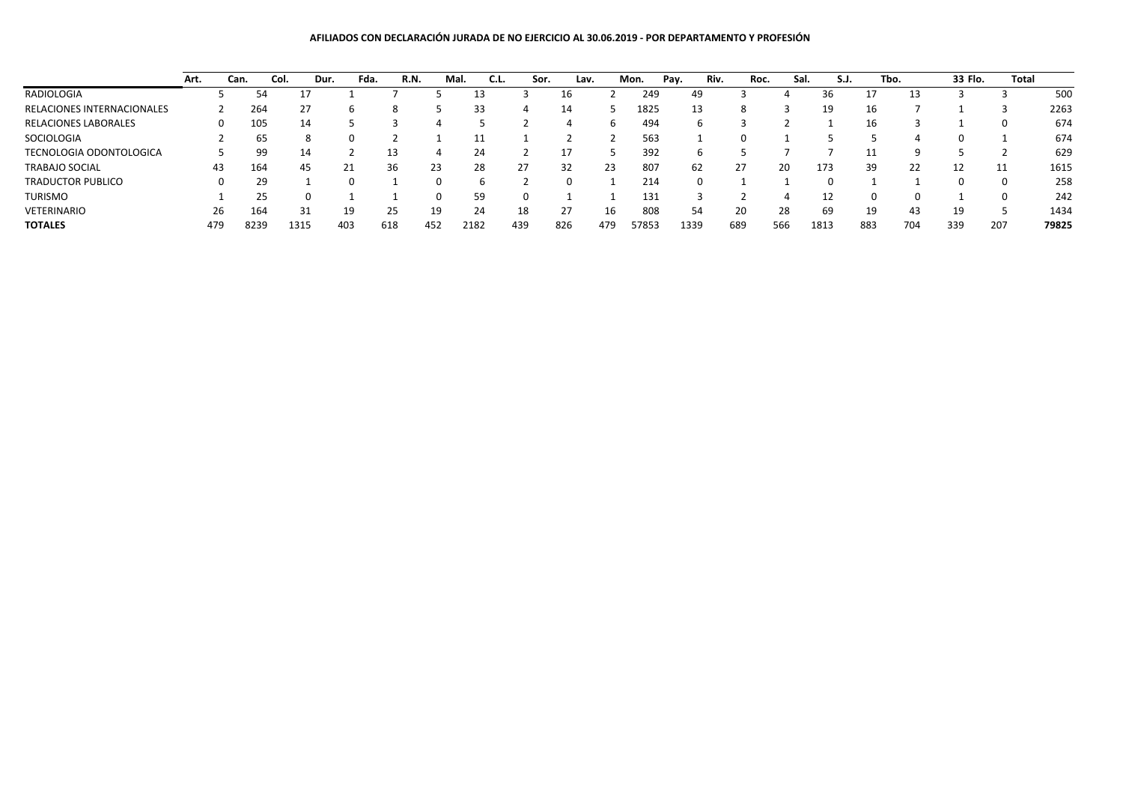## **AFILIADOS CON DECLARACIÓN JURADA DE NO EJERCICIO AL 30.06.2019 - POR DEPARTAMENTO Y PROFESIÓN**

|                             | Art. | Can. | Col. | Dur. | Fda. | R.N. | Mal. | C.L. | Sor. | Lav. |     | Mon.  | Pay. | Riv. | Roc. | Sal. | S.J. |     | Tbo. | 33 Flo. | <b>Total</b> |       |
|-----------------------------|------|------|------|------|------|------|------|------|------|------|-----|-------|------|------|------|------|------|-----|------|---------|--------------|-------|
| RADIOLOGIA                  |      |      | 54   | 17   |      |      |      | 13   |      |      |     | 249   | 49   |      |      |      | 36   | ᆚ   | 13   |         |              | 500   |
| RELACIONES INTERNACIONALES  |      |      | 264  | 27   | h    | 8    |      | 33   | 4    | 14   |     | 1825  | 13   |      |      |      | 19   | 16  |      |         |              | 2263  |
| <b>RELACIONES LABORALES</b> |      |      | 105  | 14   |      |      |      |      |      |      | h.  | 494   | h    |      |      |      |      | 16  |      |         |              | 674   |
| SOCIOLOGIA                  |      |      | 65   | 8    | O    |      |      | 11   |      |      |     | 563   |      |      |      |      |      |     |      |         |              | 674   |
| TECNOLOGIA ODONTOLOGICA     |      |      | 99   | 14   |      | 13   |      | 24   |      |      |     | 392   |      |      |      |      |      |     |      |         |              | 629   |
| <b>TRABAJO SOCIAL</b>       |      | 43   | 164  | 45   | 21   | 36   | 23   | 28   | 27   | 32   | 23  | 807   | 62   |      | 27   | 20   | 173  | 39  | 22   | 12      |              | 1615  |
| <b>TRADUCTOR PUBLICO</b>    |      |      | 29   |      |      |      |      | h    |      |      |     | 214   |      |      |      |      |      |     |      |         |              | 258   |
| TURISMO                     |      |      | 25   |      |      |      |      | 59   |      |      |     | 131   |      |      |      |      |      |     |      |         |              | 242   |
| VETERINARIO                 |      | 26   | 164  | 31   | 19   | 25   | 19   | 24   | 18   | 27   | 16  | 808   | 54   | 20   |      | 28   | 69   | 19  | 43   | 19      |              | 1434  |
| <b>TOTALES</b>              | 479  |      | 8239 | 1315 | 403  | 618  | 452  | 2182 | 439  | 826  | 479 | 57853 | 1339 | 689  |      | 566  | 1813 | 883 | 704  | 339     | 207          | 79825 |